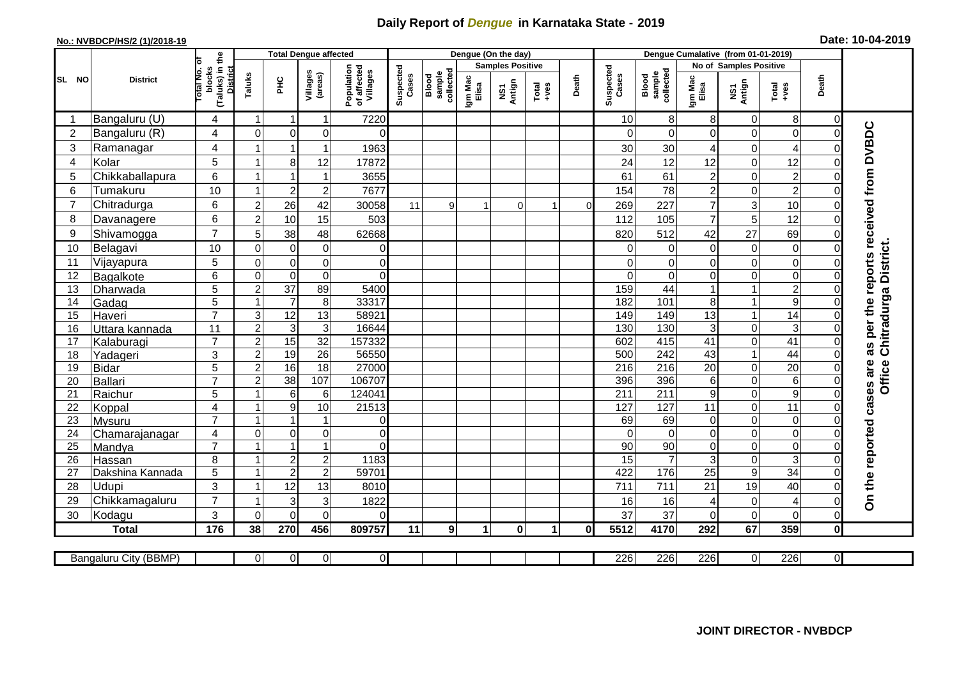## **Daily Report of** *Dengue* **in Karnataka State - 2019**

## **No.: NVBDCP/HS/2 (1)/2018-19 Date: 10-04-2019**

|                 | <b>District</b>       |                                                      | <b>Total Dengue affected</b> |                  |                         |                                       |                    |                              |                         | Dengue (On the day) |                      |          |                    |                              |                        |                  |                                                              |                |                                        |
|-----------------|-----------------------|------------------------------------------------------|------------------------------|------------------|-------------------------|---------------------------------------|--------------------|------------------------------|-------------------------|---------------------|----------------------|----------|--------------------|------------------------------|------------------------|------------------|--------------------------------------------------------------|----------------|----------------------------------------|
|                 |                       |                                                      |                              |                  |                         | Population<br>of affected<br>Villages | Suspected<br>Cases |                              | <b>Samples Positive</b> |                     |                      |          |                    |                              | No of Samples Positive |                  |                                                              |                |                                        |
| SL NO           |                       | (Taluks) in the<br>District<br>otal No. of<br>blocks | Taluks                       | Ξ                | Villages<br>(areas)     |                                       |                    | sample<br>collected<br>Blood | Igm Mac<br>Elisa        | NS1<br>Antign       | $Tota$<br>$+ves$     | Death    | Suspected<br>Cases | collected<br>sample<br>Blood | Igm Mac<br>Elisa       | NS1<br>Antign    | $\begin{array}{c}\n\text{Total} \\ \text{Area}\n\end{array}$ | Death          |                                        |
|                 | Bangaluru (U)         | 4                                                    | $\overline{1}$               | -1               | 1                       | 7220                                  |                    |                              |                         |                     |                      |          | 10                 | 8                            | 8                      | 0                | 8                                                            | 0              |                                        |
| $\overline{2}$  | Bangaluru (R)         | $\overline{4}$                                       | $\mathbf{0}$                 | $\mathbf 0$      | $\mathbf 0$             | $\Omega$                              |                    |                              |                         |                     |                      |          | $\Omega$           | $\Omega$                     | $\Omega$               | 0                | $\mathbf 0$                                                  | $\Omega$       |                                        |
| 3               | Ramanagar             | $\overline{4}$                                       |                              |                  | 1                       | 1963                                  |                    |                              |                         |                     |                      |          | 30                 | 30                           | 4                      | 0                | $\overline{4}$                                               | $\bigcap$      | as per the reports received from DVBDC |
| $\overline{4}$  | Kolar                 | $\overline{5}$                                       | $\overline{1}$               | 8                | 12                      | 17872                                 |                    |                              |                         |                     |                      |          | 24                 | 12                           | 12                     | 0                | 12                                                           | $\mathbf 0$    |                                        |
| 5               | Chikkaballapura       | $6\phantom{1}$                                       |                              |                  | 1                       | 3655                                  |                    |                              |                         |                     |                      |          | 61                 | 61                           | $\overline{2}$         | 0                | $\overline{c}$                                               | 0              |                                        |
| $6\phantom{1}6$ | Tumakuru              | 10                                                   |                              | $\overline{2}$   | $\overline{c}$          | 7677                                  |                    |                              |                         |                     |                      |          | 154                | 78                           | $\overline{c}$         | 0                | $\overline{2}$                                               | $\mathbf 0$    |                                        |
| $\overline{7}$  | Chitradurga           | 6                                                    | $\overline{c}$               | 26               | 42                      | 30058                                 | 11                 | 9 <sub>l</sub>               |                         | $\Omega$            |                      | $\Omega$ | 269                | 227                          | $\overline{7}$         | 3                | 10                                                           | $\Omega$       |                                        |
| 8               | Davanagere            | 6                                                    | $\overline{2}$               | 10               | 15                      | 503                                   |                    |                              |                         |                     |                      |          | 112                | 105                          | $\overline{7}$         | 5                | 12                                                           | $\mathbf 0$    |                                        |
| 9               | Shivamogga            | $\overline{7}$                                       | 5                            | 38               | 48                      | 62668                                 |                    |                              |                         |                     |                      |          | 820                | 512                          | 42                     | 27               | 69                                                           | $\Omega$       |                                        |
| 10              | Belagavi              | 10                                                   | $\mathbf 0$                  | $\boldsymbol{0}$ | $\pmb{0}$               | 0                                     |                    |                              |                         |                     |                      |          | $\Omega$           | 0                            | 0                      | $\boldsymbol{0}$ | $\mathsf{O}\xspace$                                          | $\Omega$       | Chitradurga District.                  |
| 11              | Vijayapura            | 5                                                    | $\mathbf 0$                  | $\pmb{0}$        | $\mathbf 0$             | $\Omega$                              |                    |                              |                         |                     |                      |          | $\Omega$           | $\Omega$                     | 0                      | $\mathbf 0$      | $\overline{\mathsf{o}}$                                      | $\Omega$       |                                        |
| 12              | Bagalkote             | 6                                                    | $\mathbf 0$                  | $\mathbf 0$      | $\pmb{0}$               | $\Omega$                              |                    |                              |                         |                     |                      |          | $\Omega$           | $\overline{0}$               | 0                      | 0                | $\overline{\mathsf{o}}$                                      | $\mathbf 0$    |                                        |
| 13              | Dharwada              | 5                                                    | $\overline{2}$               | $\overline{37}$  | 89                      | 5400                                  |                    |                              |                         |                     |                      |          | 159                | 44                           |                        | 1                | $\overline{2}$                                               | $\Omega$       |                                        |
| 14              | Gadag                 | $\overline{5}$                                       |                              | $\overline{7}$   | $\overline{\mathbf{8}}$ | 33317                                 |                    |                              |                         |                     |                      |          | 182                | 101                          | 8                      | 1                | $\overline{9}$                                               | $\Omega$       |                                        |
| 15              | Haveri                | $\overline{7}$                                       | 3                            | $\overline{12}$  | 13                      | 58921                                 |                    |                              |                         |                     |                      |          | 149                | 149                          | 13                     | 1                | $\overline{14}$                                              | $\Omega$       |                                        |
| 16              | Uttara kannada        | 11                                                   | $\overline{2}$               | 3                | $\overline{3}$          | 16644                                 |                    |                              |                         |                     |                      |          | 130                | 130                          | 3                      | 0                | ω                                                            | $\Omega$       |                                        |
| 17              | Kalaburagi            | $\overline{7}$                                       | $\overline{c}$               | 15               | $\overline{32}$         | 157332                                |                    |                              |                         |                     |                      |          | 602                | 415                          | 41                     | 0                | $\overline{41}$                                              | $\mathbf 0$    |                                        |
| 18              | Yadageri              | 3                                                    | $\overline{2}$               | 19               | 26                      | 56550                                 |                    |                              |                         |                     |                      |          | 500                | 242                          | 43                     | $\mathbf{1}$     | 44                                                           | $\Omega$       |                                        |
| 19              | Bidar                 | 5                                                    | $\overline{2}$               | 16               | 18                      | 27000                                 |                    |                              |                         |                     |                      |          | 216                | 216                          | 20                     | 0                | 20                                                           | $\mathbf 0$    |                                        |
| 20              | Ballari               | $\overline{7}$                                       | $\overline{2}$               | $\overline{38}$  | 107                     | 106707                                |                    |                              |                         |                     |                      |          | 396                | 396                          | 6                      | 0                | $\sigma$                                                     | $\mathbf 0$    | Office                                 |
| 21              | Raichur               | 5                                                    |                              | $\,6$            | 6                       | 124041                                |                    |                              |                         |                     |                      |          | $\overline{211}$   | $\overline{211}$             | 9                      | 0                | $\overline{9}$                                               | $\mathbf 0$    | cases are                              |
| 22              | Koppal                | 4                                                    |                              | $\boldsymbol{9}$ | 10                      | 21513                                 |                    |                              |                         |                     |                      |          | 127                | 127                          | 11                     | 0                | $\overline{11}$                                              | $\overline{0}$ |                                        |
| 23              | Mysuru                | $\overline{7}$                                       |                              | 1                | 1                       | $\mathbf 0$                           |                    |                              |                         |                     |                      |          | 69                 | 69                           | 0                      | 0                | $\overline{0}$                                               | $\mathbf 0$    |                                        |
| 24              | Chamarajanagar        | $\overline{4}$                                       | $\mathbf 0$                  | $\overline{0}$   | 0                       | $\overline{0}$                        |                    |                              |                         |                     |                      |          | $\Omega$           | $\overline{0}$               | $\overline{0}$         | 0                | $\overline{0}$                                               | $\mathbf 0$    |                                        |
| $\overline{25}$ | Mandya                | $\overline{7}$                                       |                              | $\overline{1}$   | 1                       | $\overline{0}$                        |                    |                              |                         |                     |                      |          | 90                 | 90                           | $\mathbf 0$            | 0                | $\overline{0}$                                               | $\mathbf 0$    |                                        |
| 26              | Hassan                | 8                                                    | $\overline{\mathbf{1}}$      | $\sqrt{2}$       | $\overline{c}$          | 1183                                  |                    |                              |                         |                     |                      |          | 15                 | $\overline{7}$               | 3                      | 0                | ც                                                            | $\mathbf 0$    |                                        |
| 27              | Dakshina Kannada      | 5                                                    |                              | $\overline{2}$   | $\overline{2}$          | 59701                                 |                    |                              |                         |                     |                      |          | 422                | 176                          | $\overline{25}$        | $\overline{9}$   | 34                                                           | $\overline{0}$ |                                        |
| 28              | <b>Udupi</b>          | 3<br>$\overline{7}$                                  |                              | 12               | 13                      | 8010                                  |                    |                              |                         |                     |                      |          | 711                | 711                          | 21                     | 19               | 40                                                           | $\Omega$       | On the reported                        |
| 29              | Chikkamagaluru        |                                                      |                              | 3                | 3                       | 1822                                  |                    |                              |                         |                     |                      |          | 16                 | 16                           | 4                      | 0                | $\overline{4}$                                               | $\Omega$       |                                        |
| 30              | Kodagu                | 3                                                    | $\Omega$                     | $\Omega$         | $\Omega$                | $\Omega$                              |                    |                              |                         |                     |                      |          | 37                 | 37                           | $\Omega$               | $\mathbf 0$      | $\mathbf 0$                                                  | $\Omega$       |                                        |
|                 | <b>Total</b>          | 176                                                  | 38                           | 270              | 456                     | 809757                                | 11                 | $\overline{9}$               | $\blacktriangleleft$    | $\mathbf{0}$        | $\blacktriangleleft$ | 0l       | 5512               | 4170                         | 292                    | 67               | 359                                                          | $\mathbf 0$    |                                        |
|                 | Bangaluru City (BBMP) |                                                      | $\overline{0}$               | $\overline{0}$   | $\overline{0}$          | $\overline{0}$                        |                    |                              |                         |                     |                      |          | 226                | 226                          | $\overline{226}$       | 0                | 226                                                          | $\overline{0}$ |                                        |